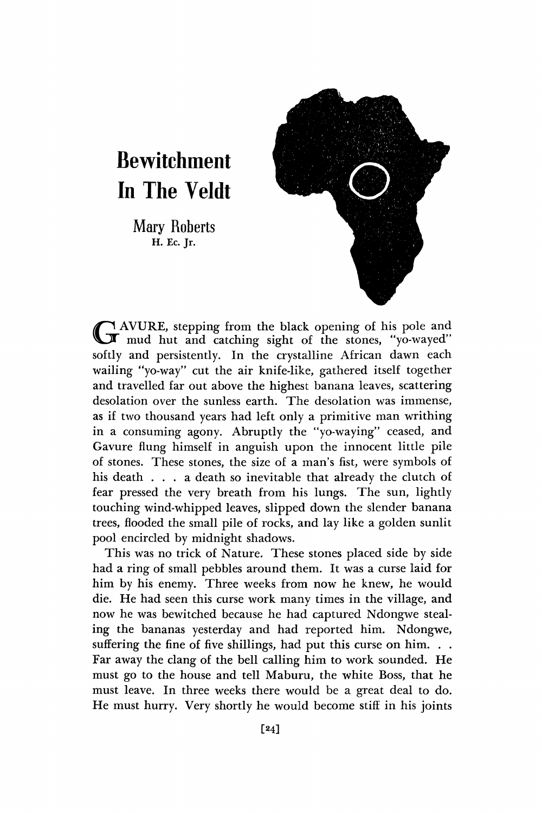# **Bewitchment In The Veldt**

Mary Roberts H. Ec. Jr.



G AVURE, stepping from the black opening of his pole and mud hut and catching sight of the stones, "yo-wayed" AVURE, stepping from the black opening of his pole and softly and persistently. In the crystalline African dawn each wailing "yo-way" cut the air knife-like, gathered itself together and travelled far out above the highest banana leaves, scattering desolation over the sunless earth. The desolation was immense, as if two thousand years had left only a primitive man writhing in a consuming agony. Abruptly the "yo-waying" ceased, and Gavure flung himself in anguish upon the innocent little pile of stones. These stones, the size of a man's fist, were symbols of his death . . . a death so inevitable that already the clutch of fear pressed the very breath from his lungs. The sun, lightly touching wind-whipped leaves, slipped down the slender banana trees, flooded the small pile of rocks, and lay like a golden sunlit pool encircled by midnight shadows.

This was no trick of Nature. These stones placed side by side had a ring of small pebbles around them. It was a curse laid for him by his enemy. Three weeks from now he knew, he would die. He had seen this curse work many times in the village, and now he was bewitched because he had captured Ndongwe stealing the bananas yesterday and had reported him. Ndongwe, suffering the fine of five shillings, had put this curse on him... Far away the clang of the bell calling him to work sounded. He must go to the house and tell Maburu, the white Boss, that he must leave. In three weeks there would be a great deal to do. He must hurry. Very shortly he would become stiff in his joints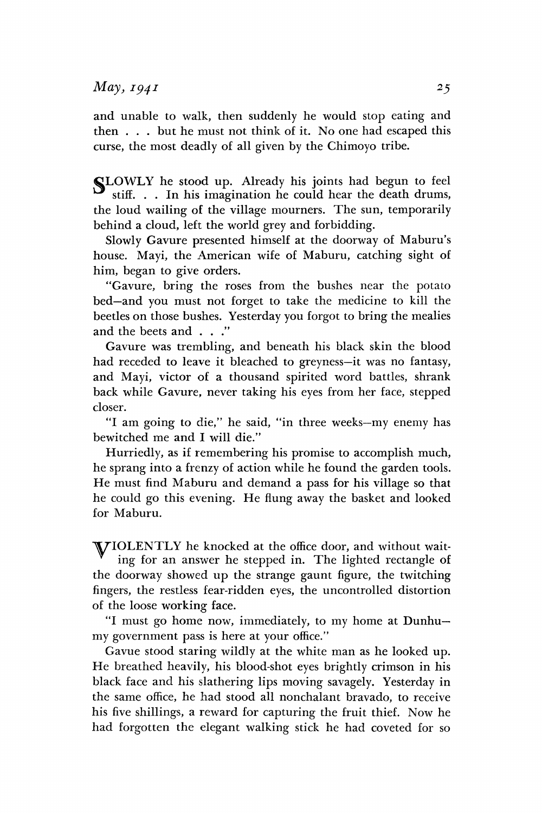### *May} 1941 2*

and unable to walk, then suddenly he would stop eating and then . . . but he must not think of it. No one had escaped this curse, the most deadly of all given by the Chimoyo tribe.

SLOWLY he stood up. Already his joints had begun to feel stiff. . . In his imagination he could hear the death drums, the loud wailing of the village mourners. The sun, temporarily behind a cloud, left the world grey and forbidding.

Slowly Gavure presented himself at the doorway of Maburu's house. Mayi, the American wife of Maburu, catching sight of him, began to give orders.

"Gavure, bring the roses from the bushes near the potato bed—and you must not forget to take the medicine to kill the beetles on those bushes. Yesterday you forgot to bring the mealies and the beets and ... "

Gavure was trembling, and beneath his black skin the blood had receded to leave it bleached to greyness—it was no fantasy, and Mayi, victor of a thousand spirited word battles, shrank back while Gavure, never taking his eyes from her face, stepped closer.

"I am going to die," he said, "in three weeks—my enemy has bewitched me and I will die."

Hurriedly, as if remembering his promise to accomplish much, he sprang into a frenzy of action while he found the garden tools. He must find Maburu and demand a pass for his village so that he could go this evening. He flung away the basket and looked for Maburu.

^I/TOLENTLY he knocked at the office door, and without waiting for an answer he stepped in. The lighted rectangle of the doorway showed up the strange gaunt figure, the twitching fingers, the restless fear-ridden eyes, the uncontrolled distortion of the loose working face.

"I must go home now, immediately, to my home at Dunhu my government pass is here at your office."

Gavue stood staring wildly at the white man as he looked up. He breathed heavily, his blood-shot eyes brightly crimson in his black face and his slathering lips moving savagely. Yesterday in the same office, he had stood all nonchalant bravado, to receive his five shillings, a reward for capturing the fruit thief. Now he had forgotten the elegant walking stick he had coveted for so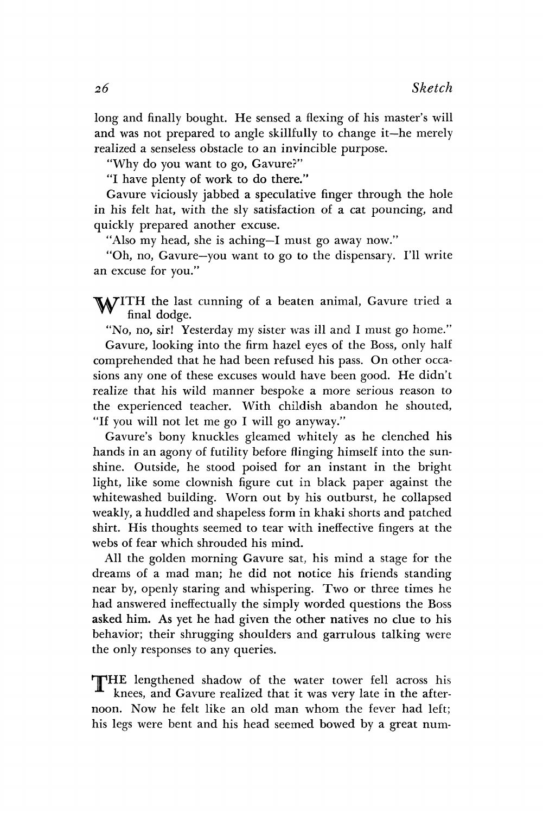long and finally bought. He sensed a flexing of his master's will and was not prepared to angle skillfully to change it—he merely realized a senseless obstacle to an invincible purpose.

"Why do you want to go, Gavure?"

"I have plenty of work to do there."

Gavure viciously jabbed a speculative finger through the hole in his felt hat, with the sly satisfaction of a cat pouncing, and quickly prepared another excuse.

"Also my head, she is aching—I must go away now."

"Oh, no, Gavure—you want to go to the dispensary. I'll write an excuse for you."

WITH the last cunning of a beaten animal, Gavure tried a final dodge.<br>"No no six! Veterday my sister year, ill and I must go home." final dodge.

"No, no, sir! Yesterday my sister was ill and I must go home."

Gavure, looking into the firm hazel eyes of the Boss, only half comprehended that he had been refused his pass. On other occasions any one of these excuses would have been good. He didn't realize that his wild manner bespoke a more serious reason to the experienced teacher. With childish abandon he shouted, "If you will not let me go I will go anyway."

Gavure's bony knuckles gleamed whitely as he clenched his hands in an agony of futility before flinging himself into the sunshine. Outside, he stood poised for an instant in the bright light, like some clownish figure cut in black paper against the whitewashed building. Worn out by his outburst, he collapsed weakly, a huddled and shapeless form in khaki shorts and patched shirt. His thoughts seemed to tear with ineffective fingers at the webs of fear which shrouded his mind.

All the golden morning Gavure sat, his mind a stage for the dreams of a mad man; he did not notice his friends standing near by, openly staring and whispering. Two or three times he had answered ineffectually the simply worded questions the Boss asked him. As yet he had given the other natives no clue to his behavior; their shrugging shoulders and garrulous talking were the only responses to any queries.

THE lengthened shadow of the water tower fell across his knees, and Gavure realized that it was very late in the afternoon. Now he felt like an old man whom the fever had left; his legs were bent and his head seemed bowed by a great num-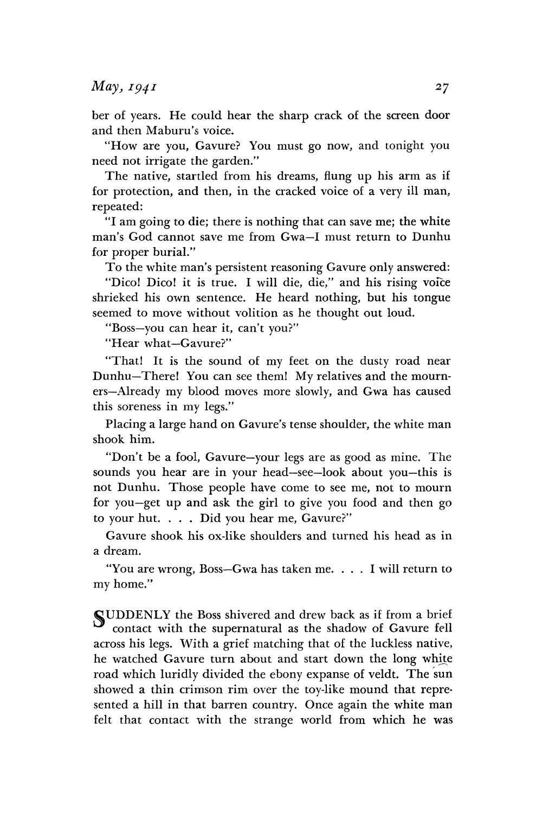#### *May, 1941* **27**

ber of years. He could hear the sharp crack of the screen door and then Maburu's voice.

"How are you, Gavure? You must go now, and tonight you need not irrigate the garden."

The native, startled from his dreams, flung up his arm as if for protection, and then, in the cracked voice of a very ill man, repeated:

"I am going to die; there is nothing that can save me; the white man's God cannot save me from Gwa—I must return to Dunhu for proper burial."

To the white man's persistent reasoning Gavure only answered:

"Dico! Dico! it is true. I will die, die," and his rising voice shrieked his own sentence. He heard nothing, but his tongue seemed to move without volition as he thought out loud.

"Boss—you can hear it, can't you?"

"Hear what—Gavure?"

"That! It is the sound of my feet on the dusty road near Dunhu—There! You can see them! My relatives and the mourners—Already my blood moves more slowly, and Gwa has caused this soreness in my legs."

Placing a large hand on Gavure's tense shoulder, the white man shook him.

"Don't be a fool, Gavure—your legs are as good as mine. The sounds you hear are in your head—see—look about you—this is not Dunhu. Those people have come to see me, not to mourn for you—get up and ask the girl to give you food and then go to your hut. . . . Did you hear me, Gavure?"

Gavure shook his ox-like shoulders and turned his head as in a dream.

"You are wrong, Boss—Gwa has taken me. .. . I will return to my home."

SUDDENLY the Boss shivered and drew back as if from a brief contact with the supernatural as the shadow of Gavure fell across his legs. With a grief matching that of the luckless native, he watched Gavure turn about and start down the long white road which luridly divided the ebony expanse of veldt. The sun showed a thin crimson rim over the toy-like mound that represented a hill in that barren country. Once again the white man felt that contact with the strange world from which he was